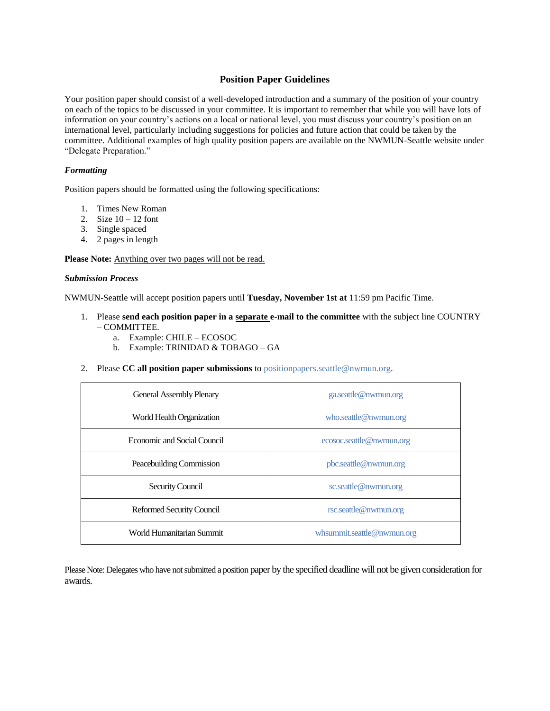# **Position Paper Guidelines**

Your position paper should consist of a well-developed introduction and a summary of the position of your country on each of the topics to be discussed in your committee. It is important to remember that while you will have lots of information on your country's actions on a local or national level, you must discuss your country's position on an international level, particularly including suggestions for policies and future action that could be taken by the committee. Additional examples of high quality position papers are available on the NWMUN-Seattle website under "Delegate Preparation."

### *Formatting*

Position papers should be formatted using the following specifications:

- 1. Times New Roman
- 2. Size  $10 12$  font
- 3. Single spaced
- 4. 2 pages in length

**Please Note:** Anything over two pages will not be read.

### *Submission Process*

NWMUN-Seattle will accept position papers until **Tuesday, November 1st at** 11:59 pm Pacific Time.

- 1. Please **send each position paper in a separate e-mail to the committee** with the subject line COUNTRY – COMMITTEE.
	- a. Example: CHILE ECOSOC
	- b. Example: TRINIDAD & TOBAGO GA
- 2. Please **CC all position paper submissions** to [positionpapers.seattle@nwmun.org.](mailto:positionpapers.seattle@nwmun.org)

| <b>General Assembly Plenary</b> | ga.seattle@nwmun.org       |
|---------------------------------|----------------------------|
| World Health Organization       | who.seattle@nwmun.org      |
| Economic and Social Council     | ecosoc.seattle@nwmun.org   |
| Peacebuilding Commission        | pbc.seattle@nwmun.org      |
| Security Council                | sc.seattle@nwmun.org       |
| Reformed Security Council       | rsc.seattle@nwmun.org      |
| World Humanitarian Summit       | whsummit.seattle@nwmun.org |

Please Note: Delegates who have not submitted a position paper by the specified deadline will not be given consideration for awards.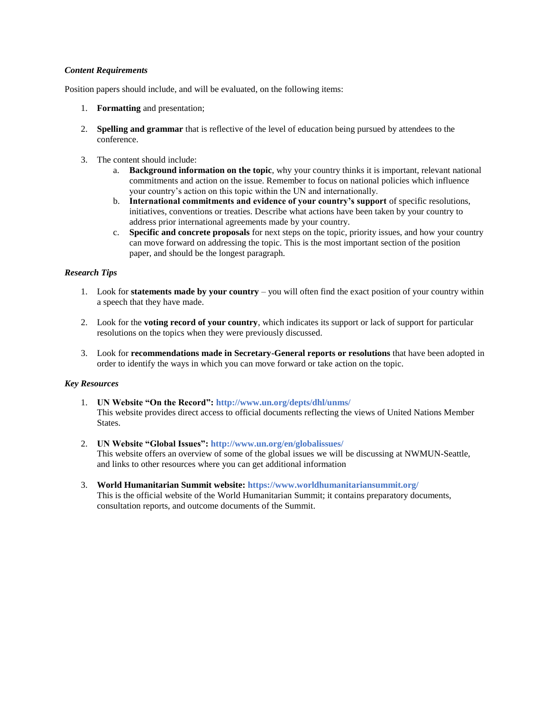### *Content Requirements*

Position papers should include, and will be evaluated, on the following items:

- 1. **Formatting** and presentation;
- 2. **Spelling and grammar** that is reflective of the level of education being pursued by attendees to the conference.
- 3. The content should include:
	- a. **Background information on the topic**, why your country thinks it is important, relevant national commitments and action on the issue. Remember to focus on national policies which influence your country's action on this topic within the UN and internationally.
	- b. **International commitments and evidence of your country's support** of specific resolutions, initiatives, conventions or treaties. Describe what actions have been taken by your country to address prior international agreements made by your country.
	- c. **Specific and concrete proposals** for next steps on the topic, priority issues, and how your country can move forward on addressing the topic. This is the most important section of the position paper, and should be the longest paragraph.

## *Research Tips*

- 1. Look for **statements made by your country** you will often find the exact position of your country within a speech that they have made.
- 2. Look for the **voting record of your country**, which indicates its support or lack of support for particular resolutions on the topics when they were previously discussed.
- 3. Look for **recommendations made in Secretary-General reports or resolutions** that have been adopted in order to identify the ways in which you can move forward or take action on the topic.

### *Key Resources*

- 1. **UN Website "On the Record": <http://www.un.org/depts/dhl/unms/>** This website provides direct access to official documents reflecting the views of United Nations Member States.
- 2. **UN Website "Global Issues": <http://www.un.org/en/globalissues/>** This website offers an overview of some of the global issues we will be discussing at NWMUN-Seattle, and links to other resources where you can get additional information
- 3. **World Humanitarian Summit website:<https://www.worldhumanitariansummit.org/>** [This is the official website of the World Humanitarian Summit; it contains preparatory documents,](https://sustainabledevelopment.un.org/post2015/summitThis%20is%20the%20official%20website%20of%20the%20Post-2015%20Summit,%20including%20information%20about%20ongoing%20intergovernmental%20negotiations,)  [consultation reports, and outcome documents of the Summit.](https://sustainabledevelopment.un.org/post2015/summitThis%20is%20the%20official%20website%20of%20the%20Post-2015%20Summit,%20including%20information%20about%20ongoing%20intergovernmental%20negotiations,)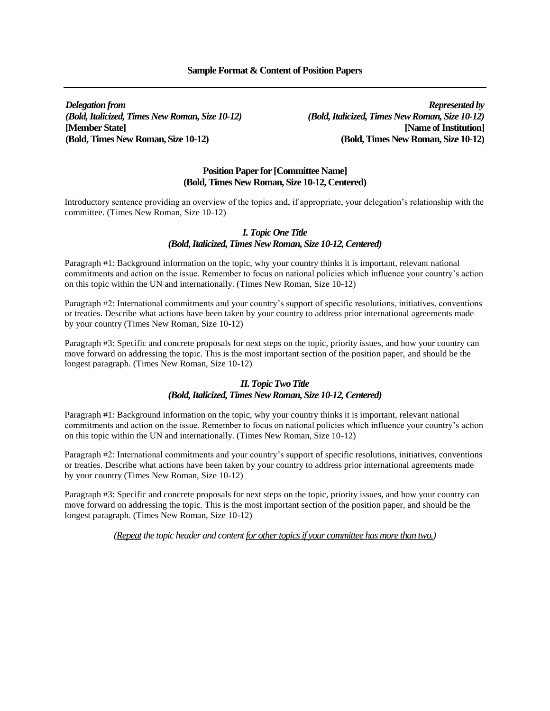### **Sample Format & Content of Position Papers**

*Delegation from (Bold, Italicized, Times New Roman, Size 10-12)*  **[Member State] (Bold, Times New Roman, Size 10-12)** 

*Represented by (Bold, Italicized, Times New Roman, Size 10-12)*  **[Name of Institution] (Bold, Times New Roman, Size 10-12)** 

## **Position Paper for [Committee Name] (Bold, Times New Roman, Size 10-12, Centered)**

Introductory sentence providing an overview of the topics and, if appropriate, your delegation's relationship with the committee. (Times New Roman, Size 10-12)

# *I. Topic One Title (Bold, Italicized, Times New Roman, Size 10-12, Centered)*

Paragraph #1: Background information on the topic, why your country thinks it is important, relevant national commitments and action on the issue. Remember to focus on national policies which influence your country's action on this topic within the UN and internationally. (Times New Roman, Size 10-12)

Paragraph #2: International commitments and your country's support of specific resolutions, initiatives, conventions or treaties. Describe what actions have been taken by your country to address prior international agreements made by your country (Times New Roman, Size 10-12)

Paragraph #3: Specific and concrete proposals for next steps on the topic, priority issues, and how your country can move forward on addressing the topic. This is the most important section of the position paper, and should be the longest paragraph. (Times New Roman, Size 10-12)

# *II. Topic Two Title (Bold, Italicized, Times New Roman, Size 10-12, Centered)*

Paragraph #1: Background information on the topic, why your country thinks it is important, relevant national commitments and action on the issue. Remember to focus on national policies which influence your country's action on this topic within the UN and internationally. (Times New Roman, Size 10-12)

Paragraph #2: International commitments and your country's support of specific resolutions, initiatives, conventions or treaties. Describe what actions have been taken by your country to address prior international agreements made by your country (Times New Roman, Size 10-12)

Paragraph #3: Specific and concrete proposals for next steps on the topic, priority issues, and how your country can move forward on addressing the topic. This is the most important section of the position paper, and should be the longest paragraph. (Times New Roman, Size 10-12)

*(Repeat the topic header and content for other topics if your committee has more than two.)*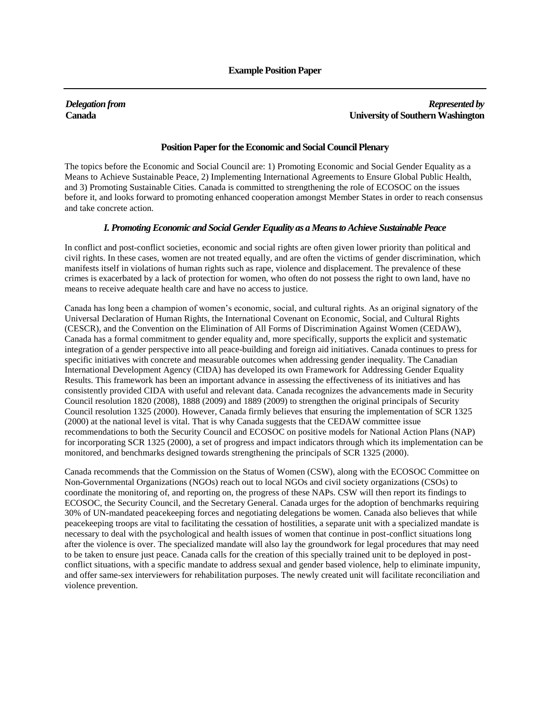*Delegation from*  **Canada**

*Represented by*  **University of Southern Washington**

### **Position Paper for the Economic and Social Council Plenary**

The topics before the Economic and Social Council are: 1) Promoting Economic and Social Gender Equality as a Means to Achieve Sustainable Peace, 2) Implementing International Agreements to Ensure Global Public Health, and 3) Promoting Sustainable Cities. Canada is committed to strengthening the role of ECOSOC on the issues before it, and looks forward to promoting enhanced cooperation amongst Member States in order to reach consensus and take concrete action.

## *I. Promoting Economic and Social Gender Equality as a Means to Achieve Sustainable Peace*

In conflict and post-conflict societies, economic and social rights are often given lower priority than political and civil rights. In these cases, women are not treated equally, and are often the victims of gender discrimination, which manifests itself in violations of human rights such as rape, violence and displacement. The prevalence of these crimes is exacerbated by a lack of protection for women, who often do not possess the right to own land, have no means to receive adequate health care and have no access to justice.

Canada has long been a champion of women's economic, social, and cultural rights. As an original signatory of the Universal Declaration of Human Rights, the International Covenant on Economic, Social, and Cultural Rights (CESCR), and the Convention on the Elimination of All Forms of Discrimination Against Women (CEDAW), Canada has a formal commitment to gender equality and, more specifically, supports the explicit and systematic integration of a gender perspective into all peace-building and foreign aid initiatives. Canada continues to press for specific initiatives with concrete and measurable outcomes when addressing gender inequality. The Canadian International Development Agency (CIDA) has developed its own Framework for Addressing Gender Equality Results. This framework has been an important advance in assessing the effectiveness of its initiatives and has consistently provided CIDA with useful and relevant data. Canada recognizes the advancements made in Security Council resolution 1820 (2008), 1888 (2009) and 1889 (2009) to strengthen the original principals of Security Council resolution 1325 (2000). However, Canada firmly believes that ensuring the implementation of SCR 1325 (2000) at the national level is vital. That is why Canada suggests that the CEDAW committee issue recommendations to both the Security Council and ECOSOC on positive models for National Action Plans (NAP) for incorporating SCR 1325 (2000), a set of progress and impact indicators through which its implementation can be monitored, and benchmarks designed towards strengthening the principals of SCR 1325 (2000).

Canada recommends that the Commission on the Status of Women (CSW), along with the ECOSOC Committee on Non-Governmental Organizations (NGOs) reach out to local NGOs and civil society organizations (CSOs) to coordinate the monitoring of, and reporting on, the progress of these NAPs. CSW will then report its findings to ECOSOC, the Security Council, and the Secretary General. Canada urges for the adoption of benchmarks requiring 30% of UN-mandated peacekeeping forces and negotiating delegations be women. Canada also believes that while peacekeeping troops are vital to facilitating the cessation of hostilities, a separate unit with a specialized mandate is necessary to deal with the psychological and health issues of women that continue in post-conflict situations long after the violence is over. The specialized mandate will also lay the groundwork for legal procedures that may need to be taken to ensure just peace. Canada calls for the creation of this specially trained unit to be deployed in postconflict situations, with a specific mandate to address sexual and gender based violence, help to eliminate impunity, and offer same-sex interviewers for rehabilitation purposes. The newly created unit will facilitate reconciliation and violence prevention.